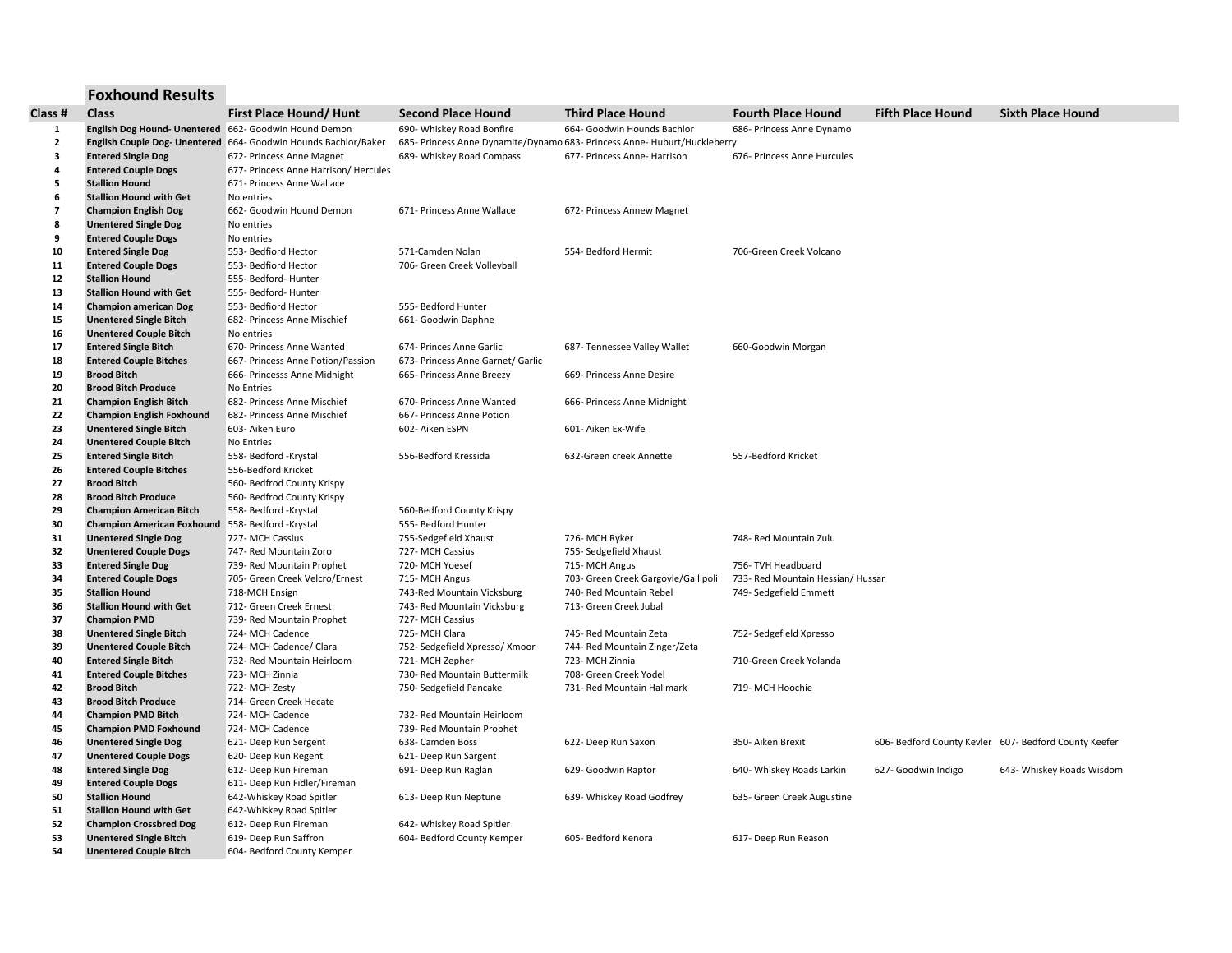## **Foxhound Results**

| Class #                 | Class                                                 | First Place Hound/ Hunt                                         | <b>Second Place Hound</b>         | <b>Third Place Hound</b>                                                  | <b>Fourth Place Hound</b>         | <b>Fifth Place Hound</b>                              | <b>Sixth Place Hound</b>  |
|-------------------------|-------------------------------------------------------|-----------------------------------------------------------------|-----------------------------------|---------------------------------------------------------------------------|-----------------------------------|-------------------------------------------------------|---------------------------|
| 1                       | English Dog Hound- Unentered 662- Goodwin Hound Demon |                                                                 | 690- Whiskey Road Bonfire         | 664- Goodwin Hounds Bachlor                                               | 686- Princess Anne Dynamo         |                                                       |                           |
| $\overline{2}$          |                                                       | English Couple Dog- Unentered 664- Goodwin Hounds Bachlor/Baker |                                   | 685- Princess Anne Dynamite/Dynamo 683- Princess Anne- Huburt/Huckleberry |                                   |                                                       |                           |
| $\overline{\mathbf{3}}$ | <b>Entered Single Dog</b>                             | 672- Princess Anne Magnet                                       | 689- Whiskey Road Compass         | 677- Princess Anne- Harrison                                              | 676- Princess Anne Hurcules       |                                                       |                           |
| 4                       | <b>Entered Couple Dogs</b>                            | 677- Princess Anne Harrison/ Hercules                           |                                   |                                                                           |                                   |                                                       |                           |
| 5                       | <b>Stallion Hound</b>                                 | 671- Princess Anne Wallace                                      |                                   |                                                                           |                                   |                                                       |                           |
| 6                       | <b>Stallion Hound with Get</b>                        | No entries                                                      |                                   |                                                                           |                                   |                                                       |                           |
| $\overline{7}$          | <b>Champion English Dog</b>                           | 662- Goodwin Hound Demon                                        | 671- Princess Anne Wallace        | 672- Princess Annew Magnet                                                |                                   |                                                       |                           |
| 8                       | <b>Unentered Single Dog</b>                           | No entries                                                      |                                   |                                                                           |                                   |                                                       |                           |
| 9                       | <b>Entered Couple Dogs</b>                            | No entries                                                      |                                   |                                                                           |                                   |                                                       |                           |
| 10                      | <b>Entered Single Dog</b>                             | 553- Bedfiord Hector                                            | 571-Camden Nolan                  | 554- Bedford Hermit                                                       | 706-Green Creek Volcano           |                                                       |                           |
| 11                      | <b>Entered Couple Dogs</b>                            | 553- Bedfiord Hector                                            | 706- Green Creek Volleyball       |                                                                           |                                   |                                                       |                           |
| 12                      | <b>Stallion Hound</b>                                 | 555- Bedford- Hunter                                            |                                   |                                                                           |                                   |                                                       |                           |
| 13                      | <b>Stallion Hound with Get</b>                        | 555- Bedford- Hunter                                            |                                   |                                                                           |                                   |                                                       |                           |
| 14                      | <b>Champion american Dog</b>                          | 553- Bedfiord Hector                                            | 555- Bedford Hunter               |                                                                           |                                   |                                                       |                           |
| 15                      | <b>Unentered Single Bitch</b>                         | 682- Princess Anne Mischief                                     | 661- Goodwin Daphne               |                                                                           |                                   |                                                       |                           |
| 16                      | <b>Unentered Couple Bitch</b>                         | No entries                                                      |                                   |                                                                           |                                   |                                                       |                           |
| 17                      | <b>Entered Single Bitch</b>                           | 670- Princess Anne Wanted                                       | 674- Princes Anne Garlic          | 687- Tennessee Valley Wallet                                              | 660-Goodwin Morgan                |                                                       |                           |
| 18                      | <b>Entered Couple Bitches</b>                         | 667- Princess Anne Potion/Passion                               | 673- Princess Anne Garnet/ Garlic |                                                                           |                                   |                                                       |                           |
| 19                      | <b>Brood Bitch</b>                                    | 666- Princesss Anne Midnight                                    | 665- Princess Anne Breezy         | 669- Princess Anne Desire                                                 |                                   |                                                       |                           |
| 20                      | <b>Brood Bitch Produce</b>                            | No Entries                                                      |                                   |                                                                           |                                   |                                                       |                           |
| 21                      | <b>Champion English Bitch</b>                         | 682- Princess Anne Mischief                                     | 670- Princess Anne Wanted         | 666- Princess Anne Midnight                                               |                                   |                                                       |                           |
| 22                      | <b>Champion English Foxhound</b>                      | 682- Princess Anne Mischief                                     | 667- Princess Anne Potion         |                                                                           |                                   |                                                       |                           |
| 23                      | <b>Unentered Single Bitch</b>                         | 603- Aiken Euro                                                 | 602- Aiken ESPN                   | 601- Aiken Ex-Wife                                                        |                                   |                                                       |                           |
| 24                      | <b>Unentered Couple Bitch</b>                         | No Entries                                                      |                                   |                                                                           |                                   |                                                       |                           |
| 25                      | <b>Entered Single Bitch</b>                           | 558- Bedford -Krystal                                           | 556-Bedford Kressida              | 632-Green creek Annette                                                   | 557-Bedford Kricket               |                                                       |                           |
| 26                      | <b>Entered Couple Bitches</b>                         | 556-Bedford Kricket                                             |                                   |                                                                           |                                   |                                                       |                           |
| 27                      | <b>Brood Bitch</b>                                    | 560- Bedfrod County Krispy                                      |                                   |                                                                           |                                   |                                                       |                           |
| 28                      | <b>Brood Bitch Produce</b>                            | 560- Bedfrod County Krispy                                      |                                   |                                                                           |                                   |                                                       |                           |
| 29                      | <b>Champion American Bitch</b>                        | 558- Bedford -Krystal                                           | 560-Bedford County Krispy         |                                                                           |                                   |                                                       |                           |
| 30                      | <b>Champion American Foxhound</b>                     | 558- Bedford -Krystal                                           | 555- Bedford Hunter               |                                                                           |                                   |                                                       |                           |
| 31                      | <b>Unentered Single Dog</b>                           | 727- MCH Cassius                                                | 755-Sedgefield Xhaust             | 726- MCH Ryker                                                            | 748- Red Mountain Zulu            |                                                       |                           |
| 32                      | <b>Unentered Couple Dogs</b>                          | 747- Red Mountain Zoro                                          | 727- MCH Cassius                  | 755- Sedgefield Xhaust                                                    |                                   |                                                       |                           |
| 33                      | <b>Entered Single Dog</b>                             | 739- Red Mountain Prophet                                       | 720- MCH Yoesef                   | 715-MCH Angus                                                             | 756- TVH Headboard                |                                                       |                           |
| 34                      | <b>Entered Couple Dogs</b>                            | 705- Green Creek Velcro/Ernest                                  | 715-MCH Angus                     | 703- Green Creek Gargoyle/Gallipoli                                       | 733- Red Mountain Hessian/ Hussar |                                                       |                           |
| 35                      | <b>Stallion Hound</b>                                 | 718-MCH Ensign                                                  | 743-Red Mountain Vicksburg        | 740- Red Mountain Rebel                                                   | 749- Sedgefield Emmett            |                                                       |                           |
| 36                      | <b>Stallion Hound with Get</b>                        | 712- Green Creek Ernest                                         | 743- Red Mountain Vicksburg       | 713- Green Creek Jubal                                                    |                                   |                                                       |                           |
| 37                      | <b>Champion PMD</b>                                   | 739- Red Mountain Prophet                                       | 727- MCH Cassius                  |                                                                           |                                   |                                                       |                           |
| 38                      | <b>Unentered Single Bitch</b>                         | 724- MCH Cadence                                                | 725-MCH Clara                     | 745- Red Mountain Zeta                                                    | 752- Sedgefield Xpresso           |                                                       |                           |
| 39                      | <b>Unentered Couple Bitch</b>                         | 724- MCH Cadence/ Clara                                         | 752- Sedgefield Xpresso/ Xmoor    | 744- Red Mountain Zinger/Zeta                                             |                                   |                                                       |                           |
| 40                      | <b>Entered Single Bitch</b>                           | 732- Red Mountain Heirloom                                      | 721-MCH Zepher                    | 723- MCH Zinnia                                                           | 710-Green Creek Yolanda           |                                                       |                           |
| 41                      | <b>Entered Couple Bitches</b>                         | 723- MCH Zinnia                                                 | 730- Red Mountain Buttermilk      | 708- Green Creek Yodel                                                    |                                   |                                                       |                           |
| 42                      | <b>Brood Bitch</b>                                    | 722- MCH Zesty                                                  | 750- Sedgefield Pancake           | 731- Red Mountain Hallmark                                                | 719- MCH Hoochie                  |                                                       |                           |
| 43                      | <b>Brood Bitch Produce</b>                            | 714- Green Creek Hecate                                         |                                   |                                                                           |                                   |                                                       |                           |
| 44                      | <b>Champion PMD Bitch</b>                             | 724- MCH Cadence                                                | 732- Red Mountain Heirloom        |                                                                           |                                   |                                                       |                           |
| 45                      | <b>Champion PMD Foxhound</b>                          | 724- MCH Cadence                                                | 739- Red Mountain Prophet         |                                                                           |                                   |                                                       |                           |
| 46                      | <b>Unentered Single Dog</b>                           | 621- Deep Run Sergent                                           | 638- Camden Boss                  | 622- Deep Run Saxon                                                       | 350- Aiken Brexit                 | 606- Bedford County Kevler 607- Bedford County Keefer |                           |
| 47                      | <b>Unentered Couple Dogs</b>                          | 620- Deep Run Regent                                            | 621- Deep Run Sargent             |                                                                           |                                   |                                                       |                           |
| 48                      | <b>Entered Single Dog</b>                             | 612- Deep Run Fireman                                           | 691- Deep Run Raglan              | 629- Goodwin Raptor                                                       | 640- Whiskey Roads Larkin         | 627- Goodwin Indigo                                   | 643- Whiskey Roads Wisdom |
| 49                      | <b>Entered Couple Dogs</b>                            | 611- Deep Run Fidler/Fireman                                    |                                   |                                                                           |                                   |                                                       |                           |
| 50                      | <b>Stallion Hound</b>                                 | 642-Whiskey Road Spitler                                        | 613- Deep Run Neptune             | 639- Whiskey Road Godfrey                                                 | 635- Green Creek Augustine        |                                                       |                           |
| 51                      | <b>Stallion Hound with Get</b>                        | 642-Whiskey Road Spitler                                        |                                   |                                                                           |                                   |                                                       |                           |
| 52                      | <b>Champion Crossbred Dog</b>                         | 612- Deep Run Fireman                                           | 642- Whiskey Road Spitler         |                                                                           |                                   |                                                       |                           |
| 53                      | <b>Unentered Single Bitch</b>                         | 619- Deep Run Saffron                                           | 604- Bedford County Kemper        | 605- Bedford Kenora                                                       | 617- Deep Run Reason              |                                                       |                           |
| 54                      | <b>Unentered Couple Bitch</b>                         | 604- Bedford County Kemper                                      |                                   |                                                                           |                                   |                                                       |                           |